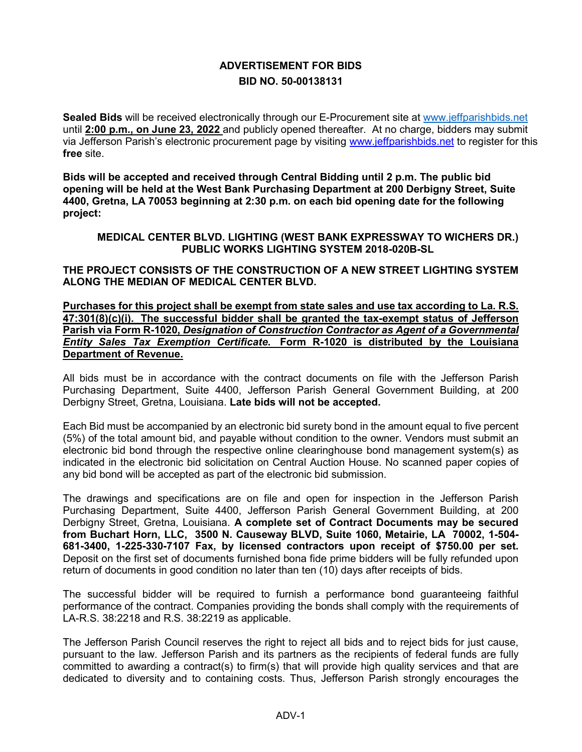## **ADVERTISEMENT FOR BIDS BID NO. 50-00138131**

**Sealed Bids** will be received electronically through our E-Procurement site at [www.jeffparishbids.net](http://www.jeffparishbids.net/) until **2:00 p.m., on June 23, 2022** and publicly opened thereafter. At no charge, bidders may submit via Jefferson Parish's electronic procurement page by visiting [www.jeffparishbids.net](http://www.jeffparishbids.net/) to register for this **free** site.

**Bids will be accepted and received through Central Bidding until 2 p.m. The public bid opening will be held at the West Bank Purchasing Department at 200 Derbigny Street, Suite 4400, Gretna, LA 70053 beginning at 2:30 p.m. on each bid opening date for the following project:**

**MEDICAL CENTER BLVD. LIGHTING (WEST BANK EXPRESSWAY TO WICHERS DR.) PUBLIC WORKS LIGHTING SYSTEM 2018-020B-SL**

**THE PROJECT CONSISTS OF THE CONSTRUCTION OF A NEW STREET LIGHTING SYSTEM ALONG THE MEDIAN OF MEDICAL CENTER BLVD.**

**Purchases for this project shall be exempt from state sales and use tax according to La. R.S. 47:301(8)(c)(i). The successful bidder shall be granted the tax-exempt status of Jefferson Parish via Form R-1020,** *Designation of Construction Contractor as Agent of a Governmental Entity Sales Tax Exemption Certificate***. Form R-1020 is distributed by the Louisiana Department of Revenue.**

All bids must be in accordance with the contract documents on file with the Jefferson Parish Purchasing Department, Suite 4400, Jefferson Parish General Government Building, at 200 Derbigny Street, Gretna, Louisiana. **Late bids will not be accepted.**

Each Bid must be accompanied by an electronic bid surety bond in the amount equal to five percent (5%) of the total amount bid, and payable without condition to the owner. Vendors must submit an electronic bid bond through the respective online clearinghouse bond management system(s) as indicated in the electronic bid solicitation on Central Auction House. No scanned paper copies of any bid bond will be accepted as part of the electronic bid submission.

The drawings and specifications are on file and open for inspection in the Jefferson Parish Purchasing Department, Suite 4400, Jefferson Parish General Government Building, at 200 Derbigny Street, Gretna, Louisiana. **A complete set of Contract Documents may be secured from Buchart Horn, LLC, 3500 N. Causeway BLVD, Suite 1060, Metairie, LA 70002, 1-504- 681-3400, 1-225-330-7107 Fax, by licensed contractors upon receipt of \$750.00 per set.** Deposit on the first set of documents furnished bona fide prime bidders will be fully refunded upon return of documents in good condition no later than ten (10) days after receipts of bids.

The successful bidder will be required to furnish a performance bond guaranteeing faithful performance of the contract. Companies providing the bonds shall comply with the requirements of LA-R.S. 38:2218 and R.S. 38:2219 as applicable.

The Jefferson Parish Council reserves the right to reject all bids and to reject bids for just cause, pursuant to the law. Jefferson Parish and its partners as the recipients of federal funds are fully committed to awarding a contract(s) to firm(s) that will provide high quality services and that are dedicated to diversity and to containing costs. Thus, Jefferson Parish strongly encourages the